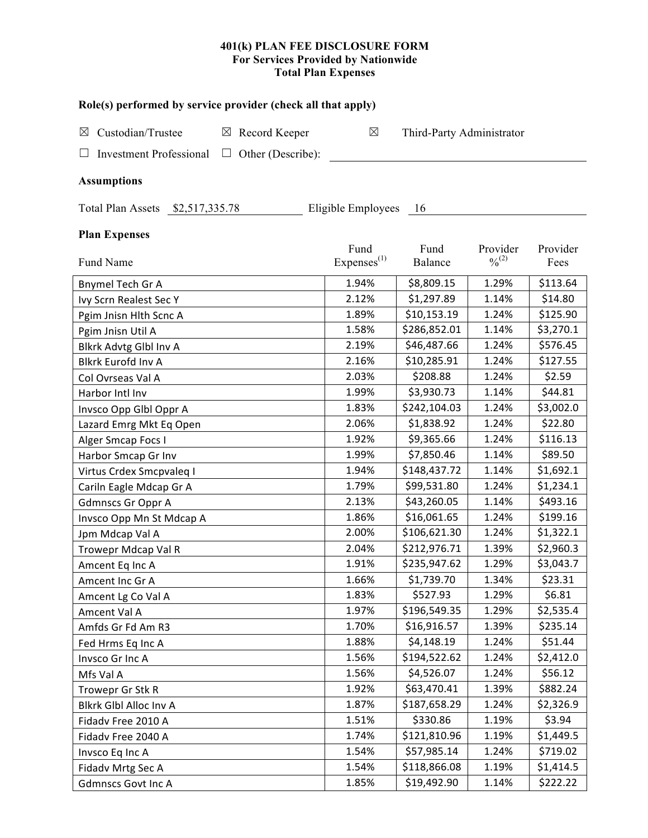# 401(k) PLAN FEE DISCLOSURE FORM<br>For Services Provided by Nationwide<br>Total Plan Expenses

| Role(s) performed by service provider (check all that apply) |                         |                           |                              |           |  |  |  |
|--------------------------------------------------------------|-------------------------|---------------------------|------------------------------|-----------|--|--|--|
| Custodian/Trustee<br>$\boxtimes$ Record Keeper<br>⊠          | $\boxtimes$             | Third-Party Administrator |                              |           |  |  |  |
|                                                              |                         |                           |                              |           |  |  |  |
| <b>Investment Professional</b><br>$\Box$ Other (Describe):   |                         |                           |                              |           |  |  |  |
| <b>Assumptions</b>                                           |                         |                           |                              |           |  |  |  |
| Total Plan Assets \$2,517,335.78                             | Eligible Employees 16   |                           |                              |           |  |  |  |
| <b>Plan Expenses</b>                                         |                         |                           |                              |           |  |  |  |
|                                                              | Fund                    | Fund                      | Provider                     | Provider  |  |  |  |
| Fund Name                                                    | Expenses <sup>(1)</sup> | <b>Balance</b>            | $\frac{0}{2}$ <sup>(2)</sup> | Fees      |  |  |  |
| <b>Bnymel Tech Gr A</b>                                      | 1.94%                   | \$8,809.15                | 1.29%                        | \$113.64  |  |  |  |
| Ivy Scrn Realest Sec Y                                       | 2.12%                   | \$1,297.89                | 1.14%                        | \$14.80   |  |  |  |
| Pgim Jnisn Hlth Scnc A                                       | 1.89%                   | \$10,153.19               | 1.24%                        | \$125.90  |  |  |  |
| Pgim Jnisn Util A                                            | 1.58%                   | \$286,852.01              | 1.14%                        | \$3,270.1 |  |  |  |
| Blkrk Advtg Glbl Inv A                                       | 2.19%                   | \$46,487.66               | 1.24%                        | \$576.45  |  |  |  |
| <b>Blkrk Eurofd Inv A</b>                                    | 2.16%                   | \$10,285.91               | 1.24%                        | \$127.55  |  |  |  |
| Col Ovrseas Val A                                            | 2.03%                   | \$208.88                  | 1.24%                        | \$2.59    |  |  |  |
| Harbor Intl Inv                                              | 1.99%                   | \$3,930.73                | 1.14%                        | \$44.81   |  |  |  |
| Invsco Opp Glbl Oppr A                                       | 1.83%                   | \$242,104.03              | 1.24%                        | \$3,002.0 |  |  |  |
| Lazard Emrg Mkt Eq Open                                      | 2.06%                   | \$1,838.92                | 1.24%                        | \$22.80   |  |  |  |
| Alger Smcap Focs I                                           | 1.92%                   | \$9,365.66                | 1.24%                        | \$116.13  |  |  |  |
| Harbor Smcap Gr Inv                                          | 1.99%                   | \$7,850.46                | 1.14%                        | \$89.50   |  |  |  |
| Virtus Crdex Smcpvaleq I                                     | 1.94%                   | \$148,437.72              | 1.14%                        | \$1,692.1 |  |  |  |
| Cariln Eagle Mdcap Gr A                                      | 1.79%                   | \$99,531.80               | 1.24%                        | \$1,234.1 |  |  |  |
| <b>Gdmnscs Gr Oppr A</b>                                     | 2.13%                   | \$43,260.05               | 1.14%                        | \$493.16  |  |  |  |
| Invsco Opp Mn St Mdcap A                                     | 1.86%                   | \$16,061.65               | 1.24%                        | \$199.16  |  |  |  |
| Jpm Mdcap Val A                                              | 2.00%                   | \$106,621.30              | 1.24%                        | \$1,322.1 |  |  |  |
| Trowepr Mdcap Val R                                          | 2.04%                   | \$212,976.71              | 1.39%                        | \$2,960.3 |  |  |  |
| Amcent Eq Inc A                                              | 1.91%                   | \$235,947.62              | 1.29%                        | \$3,043.7 |  |  |  |
| Amcent Inc Gr A                                              | 1.66%                   | \$1,739.70                | 1.34%                        | \$23.31   |  |  |  |
| Amcent Lg Co Val A                                           | 1.83%                   | \$527.93                  | 1.29%                        | \$6.81    |  |  |  |
| Amcent Val A                                                 | 1.97%                   | \$196,549.35              | 1.29%                        | \$2,535.4 |  |  |  |
| Amfds Gr Fd Am R3                                            | 1.70%                   | \$16,916.57               | 1.39%                        | \$235.14  |  |  |  |
| Fed Hrms Eq Inc A                                            | 1.88%                   | \$4,148.19                | 1.24%                        | \$51.44   |  |  |  |
| Invsco Gr Inc A                                              | 1.56%                   | \$194,522.62              | 1.24%                        | \$2,412.0 |  |  |  |
| Mfs Val A                                                    | 1.56%                   | \$4,526.07                | 1.24%                        | \$56.12   |  |  |  |
| Trowepr Gr Stk R                                             | 1.92%                   | \$63,470.41               | 1.39%                        | \$882.24  |  |  |  |
| Blkrk Glbl Alloc Inv A                                       | 1.87%                   | \$187,658.29              | 1.24%                        | \$2,326.9 |  |  |  |
| Fidadv Free 2010 A                                           | 1.51%                   | \$330.86                  | 1.19%                        | \$3.94    |  |  |  |
| Fidadv Free 2040 A                                           | 1.74%                   | \$121,810.96              | 1.19%                        | \$1,449.5 |  |  |  |
| Invsco Eq Inc A                                              | 1.54%                   | \$57,985.14               | 1.24%                        | \$719.02  |  |  |  |
| Fidadv Mrtg Sec A                                            | 1.54%                   | \$118,866.08              | 1.19%                        | \$1,414.5 |  |  |  |
| <b>Gdmnscs Govt Inc A</b>                                    | 1.85%                   | \$19,492.90               | 1.14%                        | \$222.22  |  |  |  |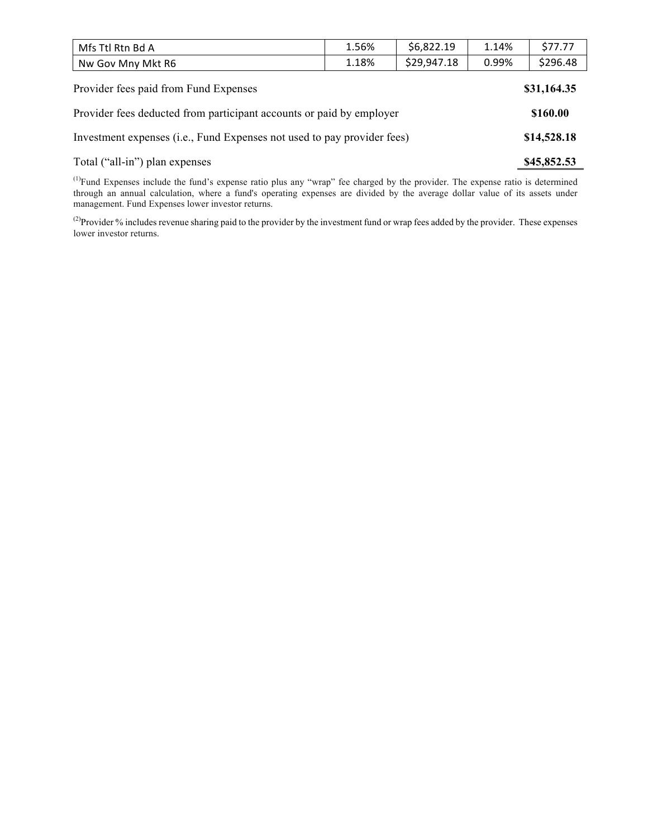| Mfs Ttl Rtn Bd A                      | 1.56% | \$6,822.19  | 1.14% | \$77.77     |
|---------------------------------------|-------|-------------|-------|-------------|
| Nw Gov Mny Mkt R6                     | 1.18% | \$29,947.18 | 0.99% | \$296.48    |
| Provider fees paid from Fund Expenses |       |             |       | \$31,164.35 |

| Provider fees deducted from participant accounts or paid by employer    | \$160.00    |
|-------------------------------------------------------------------------|-------------|
| Investment expenses (i.e., Fund Expenses not used to pay provider fees) | \$14,528.18 |
| Total ("all-in") plan expenses                                          | \$45,852.53 |

 $<sup>(1)</sup>Fund Expresses include the fund's expense ratio plus any "wrap" fee charged by the provider. The expense ratio is determined$ </sup> through an annual calculation, where a fund's operating expenses are divided by the average dollar value of its assets under management. Fund Expenses lower investor returns.

<sup>(2)</sup>Provider % includes revenue sharing paid to the provider by the investment fund or wrap fees added by the provider. These expenses lower investor returns.